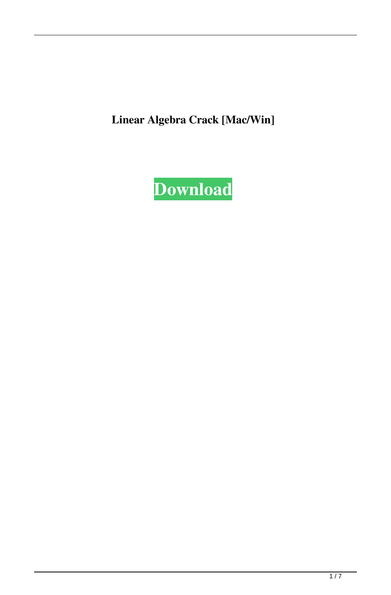**Linear Algebra Crack [Mac/Win]**

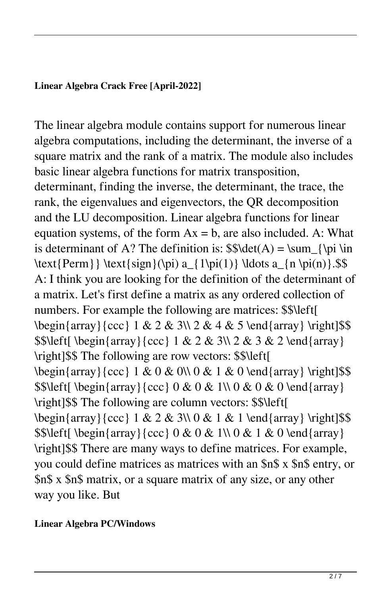# **Linear Algebra Crack Free [April-2022]**

The linear algebra module contains support for numerous linear algebra computations, including the determinant, the inverse of a square matrix and the rank of a matrix. The module also includes basic linear algebra functions for matrix transposition, determinant, finding the inverse, the determinant, the trace, the rank, the eigenvalues and eigenvectors, the QR decomposition and the LU decomposition. Linear algebra functions for linear equation systems, of the form  $Ax = b$ , are also included. A: What is determinant of A? The definition is:  $\delta(A) = \sum_{\pi \in A}$ \text{Perm}} \text{sign}(\pi) a\_{1\pi(1)} \ldots a\_{n \pi(n)}.\$\$ A: I think you are looking for the definition of the determinant of a matrix. Let's first define a matrix as any ordered collection of numbers. For example the following are matrices: \$\$\left[  $\begin{array}{c}\n\begin{array}{c}\n1 & 2 & 3\1 & 2 & 4 & 5\n\end{array} \right|\$  $$ \left[ \begin{array}{cc} \frac{2}{x} & 1 & 2 & 3 \ 2 & 3 & 2 \end{array} \right]$ \right]\$\$ The following are row vectors: \$\$\left[  $\begin{array}{c}\n\begin{array}{c}\n1 & 0 & 0 \\
0 & 1 & 0\n\end{array} \right|\$  $\{\begin{array}{c}\n$  \$\$\left[\begin{array}{ccc} 0 & 0 & 1\\ 0 & 0 & 0 \end{array} \right]\$\$ The following are column vectors: \$\$\left[  $\begin{array}{c}\n\begin{array}{c}\n1 & 2 & 3 \\
0 & 1 & 1\n\end{array} \right|\$  $\{\begin{array}{c}\n$  \$\$\left[\begin{array}{ccc} 0 & 0 & 1\\ 0 & 1 & 0 \end{array} \right]\$\$ There are many ways to define matrices. For example, you could define matrices as matrices with an \$n\$ x \$n\$ entry, or \$n\$ x \$n\$ matrix, or a square matrix of any size, or any other way you like. But

## **Linear Algebra PC/Windows**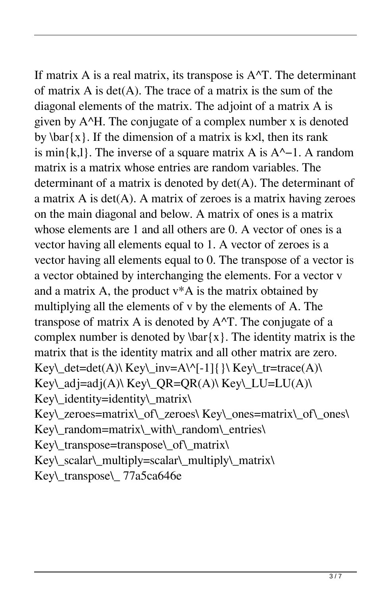If matrix A is a real matrix, its transpose is  $A^T$ . The determinant of matrix  $A$  is det $(A)$ . The trace of a matrix is the sum of the diagonal elements of the matrix. The adjoint of a matrix A is given by A^H. The conjugate of a complex number x is denoted by  $\bar{x}$ . If the dimension of a matrix is k×l, then its rank is min $\{k,l\}$ . The inverse of a square matrix A is A $^{\wedge}-1$ . A random matrix is a matrix whose entries are random variables. The determinant of a matrix is denoted by det(A). The determinant of a matrix  $A$  is  $det(A)$ . A matrix of zeroes is a matrix having zeroes on the main diagonal and below. A matrix of ones is a matrix whose elements are 1 and all others are 0. A vector of ones is a vector having all elements equal to 1. A vector of zeroes is a vector having all elements equal to 0. The transpose of a vector is a vector obtained by interchanging the elements. For a vector v and a matrix A, the product v\*A is the matrix obtained by multiplying all the elements of v by the elements of A. The transpose of matrix A is denoted by A^T. The conjugate of a complex number is denoted by  $\bar{x}$ . The identity matrix is the matrix that is the identity matrix and all other matrix are zero. Key\\_det=det(A)\ Key\\_inv=A\^[-1]{ \\ Key\\_tr=trace(A)\ Key\\_adj=adj(A)\ Key\\_QR=QR(A)\ Key\\_LU=LU(A)\ Key\\_identity=identity\\_matrix\ Key\\_zeroes=matrix\\_of\\_zeroes\ Key\\_ones=matrix\\_of\\_ones\ Key\\_random=matrix\\_with\\_random\\_entries\ Key\\_transpose=transpose\\_of\\_matrix\ Key\\_scalar\\_multiply=scalar\\_multiply\\_matrix\ Key\\_transpose\\_ 77a5ca646e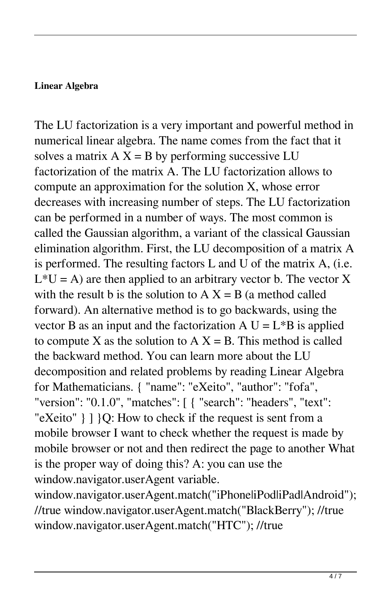## **Linear Algebra**

The LU factorization is a very important and powerful method in numerical linear algebra. The name comes from the fact that it solves a matrix  $A X = B$  by performing successive LU factorization of the matrix A. The LU factorization allows to compute an approximation for the solution X, whose error decreases with increasing number of steps. The LU factorization can be performed in a number of ways. The most common is called the Gaussian algorithm, a variant of the classical Gaussian elimination algorithm. First, the LU decomposition of a matrix A is performed. The resulting factors L and U of the matrix A, (i.e.  $L*U = A$ ) are then applied to an arbitrary vector b. The vector X with the result b is the solution to  $A X = B$  (a method called forward). An alternative method is to go backwards, using the vector B as an input and the factorization  $A U = L^*B$  is applied to compute X as the solution to  $A X = B$ . This method is called the backward method. You can learn more about the LU decomposition and related problems by reading Linear Algebra for Mathematicians. { "name": "eXeito", "author": "fofa", "version": "0.1.0", "matches": [ { "search": "headers", "text": "eXeito" } ] }Q: How to check if the request is sent from a mobile browser I want to check whether the request is made by mobile browser or not and then redirect the page to another What is the proper way of doing this? A: you can use the window.navigator.userAgent variable.

window.navigator.userAgent.match("iPhoneliPodliPadlAndroid"); //true window.navigator.userAgent.match("BlackBerry"); //true window.navigator.userAgent.match("HTC"); //true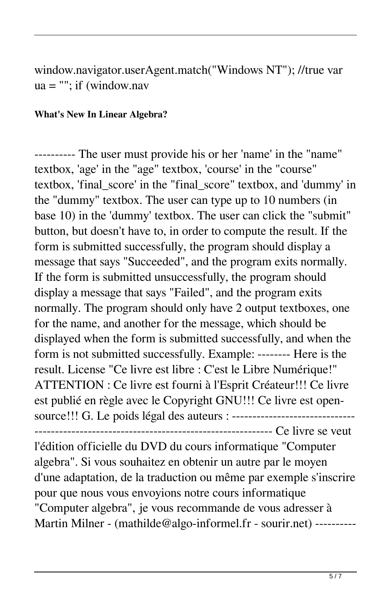window.navigator.userAgent.match("Windows NT"); //true var ua = ""; if (window.nav

#### **What's New In Linear Algebra?**

---------- The user must provide his or her 'name' in the "name" textbox, 'age' in the "age" textbox, 'course' in the "course" textbox, 'final\_score' in the "final\_score" textbox, and 'dummy' in the "dummy" textbox. The user can type up to 10 numbers (in base 10) in the 'dummy' textbox. The user can click the "submit" button, but doesn't have to, in order to compute the result. If the form is submitted successfully, the program should display a message that says "Succeeded", and the program exits normally. If the form is submitted unsuccessfully, the program should display a message that says "Failed", and the program exits normally. The program should only have 2 output textboxes, one for the name, and another for the message, which should be displayed when the form is submitted successfully, and when the form is not submitted successfully. Example: -------- Here is the result. License "Ce livre est libre : C'est le Libre Numérique!" ATTENTION : Ce livre est fourni à l'Esprit Créateur!!! Ce livre est publié en règle avec le Copyright GNU!!! Ce livre est opensource!!! G. Le poids légal des auteurs : ------------------------------

 $------$  Ce livre se veut l'édition officielle du DVD du cours informatique "Computer algebra". Si vous souhaitez en obtenir un autre par le moyen d'une adaptation, de la traduction ou même par exemple s'inscrire pour que nous vous envoyions notre cours informatique "Computer algebra", je vous recommande de vous adresser à Martin Milner - (mathilde@algo-informel.fr - sourir.net) ----------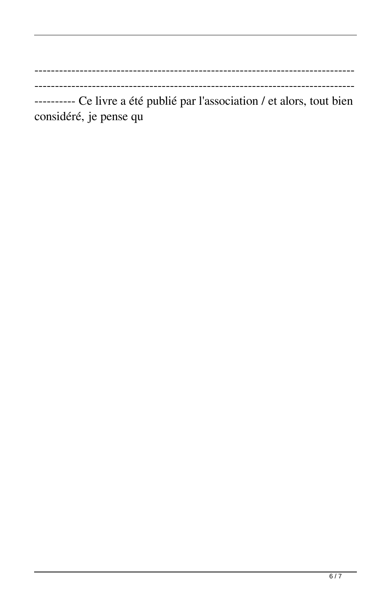---------- Ce livre a été publié par l'association / et alors, tout bien considéré, je pense qu